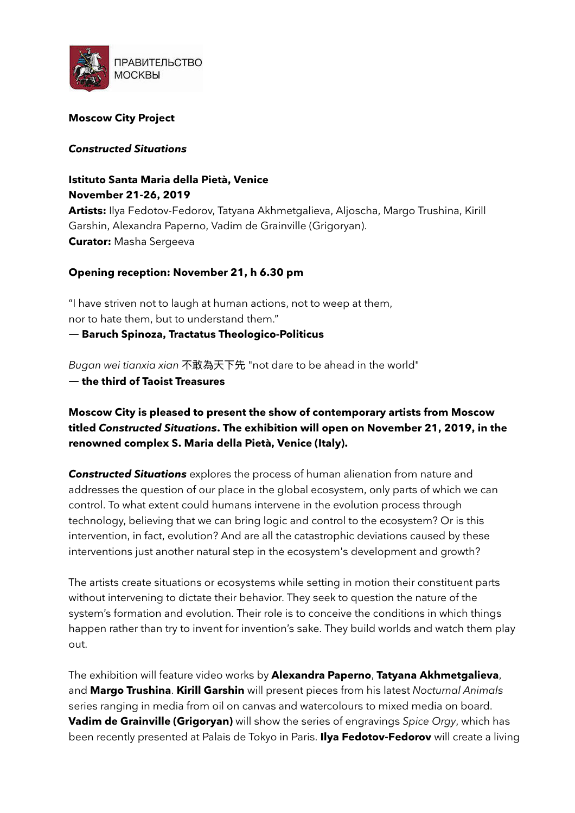

### **Moscow Cit Project**

#### *Constructed Situations*

# **Istituto Santa Maria della Pietà, Venice November 21-26, 2019**

Artists: Ilya Fedotov-Fedorov, Tatyana Akhmetgalieva, Aljoscha, Margo Trushina, Kirill Garshin, Alexandra Paperno, Vadim de Grainville (Grigoryan). **Curator:** Masha Sergeeva

## **Opening reception: November 21, h 6.30 pm**

"I have striven not to laugh at human actions, not to weep at them, nor to hate them, but to understand them."

**― Baruch Spinoza, Tractatus Theologico-Politicus** 

*Bugan wei tianxia xian* 不敢為天下先 "not dare to be ahead in the world"

**― the third of Taoist Treasures** 

# **Moscow Cit is pleased to present the show of contemporary artists from Moscow titled** *Constructed Situations***. The exhibition will open on November 21, 2019, in the renowned complex S. Maria della Pietà, Venice (Italy).**

*Constructed Situations* explores the process of human alienation from nature and addresses the question of our place in the global ecosystem, only parts of which we can control. To what extent could humans intervene in the evolution process through technology, believing that we can bring logic and control to the ecosystem? Or is this intervention, in fact, evolution? And are all the catastrophic deviations caused by these interventions just another natural step in the ecosystem's development and growth?

The artists create situations or ecosystems while setting in motion their constituent parts without intervening to dictate their behavior. They seek to question the nature of the system's formation and evolution. Their role is to conceive the conditions in which things happen rather than try to invent for invention's sake. They build worlds and watch them play out.

The exhibition will feature video works by **Alexandra Paperno**, **Tatana Akhmetgalieva**, and **Margo Trushina**. **Kirill Garshin** will present pieces from his latest *Nocturnal Animals*  series ranging in media from oil on canvas and watercolours to mixed media on board. **Vadim de Grainville (Grigoryan)** will show the series of engravings *Spice Orgy*, which has been recently presented at Palais de Tokyo in Paris. **Ilya Fedotov-Fedorov** will create a living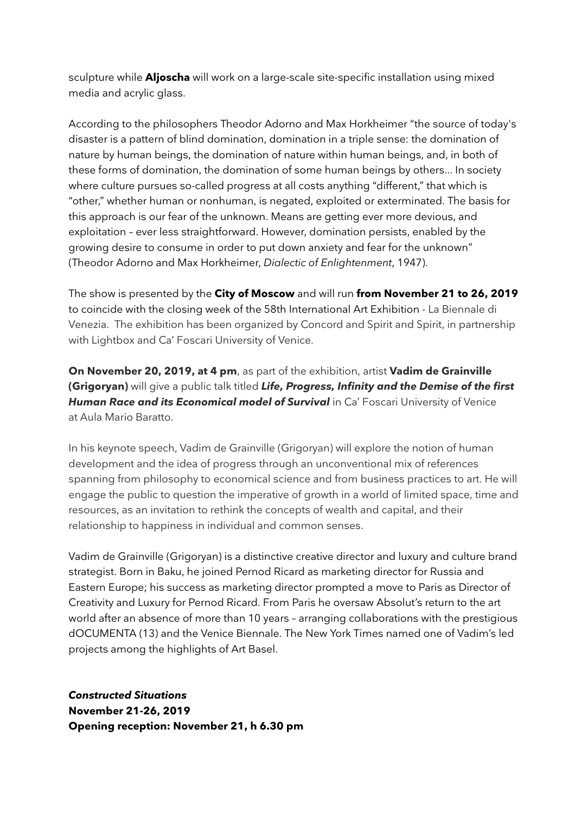sculpture while **Aljoscha** will work on a large-scale site-specific installation using mixed media and acrylic glass.

According to the philosophers Theodor Adorno and Max Horkheimer "the source of today's disaster is a pattern of blind domination, domination in a triple sense: the domination of nature by human beings, the domination of nature within human beings, and, in both of these forms of domination, the domination of some human beings by others... In societ where culture pursues so-called progress at all costs anything "different," that which is "other," whether human or nonhuman, is negated, exploited or exterminated. The basis for this approach is our fear of the unknown. Means are getting ever more devious, and exploitation – ever less straightforward. However, domination persists, enabled by the growing desire to consume in order to put down anxiety and fear for the unknown" (Theodor Adorno and Max Horkheimer, *Dialectic of Enlightenment*, 1947).

The show is presented by the **Cit of Moscow** and will run **from November 21 to 26, 2019** to coincide with the closing week of the 58th International Art Exhibition - La Biennale di Venezia. The exhibition has been organized by Concord and Spirit and Spirit, in partnership with Lightbox and Ca' Foscari University of Venice.

**On November 20, 2019, at 4 pm**, as part of the exhibition, artist **Vadim de Grainville (Grigoryan)** will give a public talk titled *Life, Progress, Infinit and the Demise of the first*  **Human Race and its Economical model of Survival** in Ca' Foscari University of Venice at Aula Mario Baratto.

In his keynote speech, Vadim de Grainville (Grigoryan) will explore the notion of human development and the idea of progress through an unconventional mix of references spanning from philosophy to economical science and from business practices to art. He will engage the public to question the imperative of growth in a world of limited space, time and resources, as an invitation to rethink the concepts of wealth and capital, and their relationship to happiness in individual and common senses.

Vadim de Grainville (Grigoryan) is a distinctive creative director and luxury and culture brand strategist. Born in Baku, he joined Pernod Ricard as marketing director for Russia and Eastern Europe; his success as marketing director prompted a move to Paris as Director of Creativity and Luxury for Pernod Ricard. From Paris he oversaw Absolut's return to the art world after an absence of more than 10 years - arranging collaborations with the prestigious dOCUMENTA (13) and the Venice Biennale. The New York Times named one of Vadim's led projects among the highlights of Art Basel.

*Constructed Situations*  **November 21-26, 2019 Opening reception: November 21, h 6.30 pm**